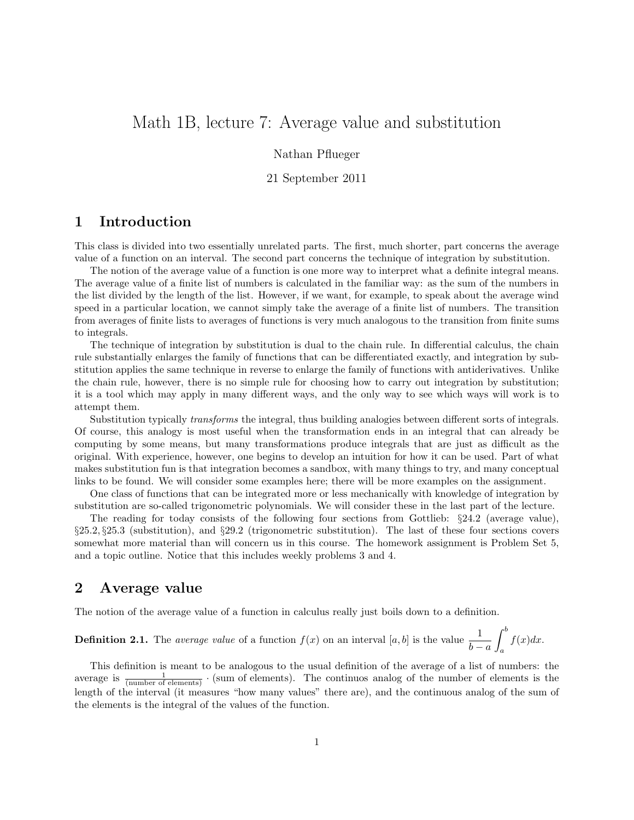# Math 1B, lecture 7: Average value and substitution

#### Nathan Pflueger

#### 21 September 2011

# 1 Introduction

This class is divided into two essentially unrelated parts. The first, much shorter, part concerns the average value of a function on an interval. The second part concerns the technique of integration by substitution.

The notion of the average value of a function is one more way to interpret what a definite integral means. The average value of a finite list of numbers is calculated in the familiar way: as the sum of the numbers in the list divided by the length of the list. However, if we want, for example, to speak about the average wind speed in a particular location, we cannot simply take the average of a finite list of numbers. The transition from averages of finite lists to averages of functions is very much analogous to the transition from finite sums to integrals.

The technique of integration by substitution is dual to the chain rule. In differential calculus, the chain rule substantially enlarges the family of functions that can be differentiated exactly, and integration by substitution applies the same technique in reverse to enlarge the family of functions with antiderivatives. Unlike the chain rule, however, there is no simple rule for choosing how to carry out integration by substitution; it is a tool which may apply in many different ways, and the only way to see which ways will work is to attempt them.

Substitution typically transforms the integral, thus building analogies between different sorts of integrals. Of course, this analogy is most useful when the transformation ends in an integral that can already be computing by some means, but many transformations produce integrals that are just as difficult as the original. With experience, however, one begins to develop an intuition for how it can be used. Part of what makes substitution fun is that integration becomes a sandbox, with many things to try, and many conceptual links to be found. We will consider some examples here; there will be more examples on the assignment.

One class of functions that can be integrated more or less mechanically with knowledge of integration by substitution are so-called trigonometric polynomials. We will consider these in the last part of the lecture.

The reading for today consists of the following four sections from Gottlieb: §24.2 (average value), §25.2, §25.3 (substitution), and §29.2 (trigonometric substitution). The last of these four sections covers somewhat more material than will concern us in this course. The homework assignment is Problem Set 5, and a topic outline. Notice that this includes weekly problems 3 and 4.

### 2 Average value

The notion of the average value of a function in calculus really just boils down to a definition.

**Definition 2.1.** The *average value* of a function  $f(x)$  on an interval  $[a, b]$  is the value  $\frac{1}{b-a}$  $\int^b$ a  $f(x)dx$ .

This definition is meant to be analogous to the usual definition of the average of a list of numbers: the average is  $\frac{1}{(number\ of\ elements)}$  · (sum of elements). The continuos analog of the number of elements is the length of the interval (it measures "how many values" there are), and the continuous analog of the sum of the elements is the integral of the values of the function.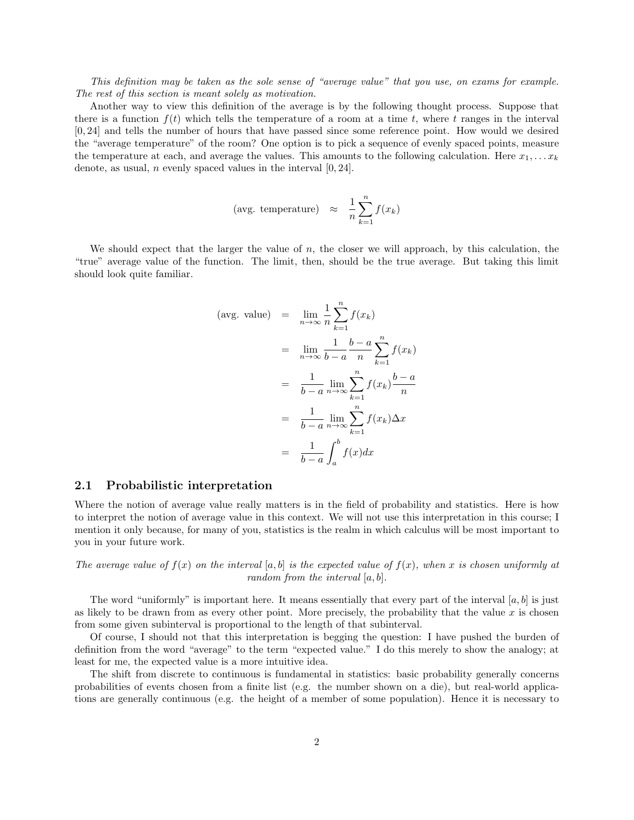This definition may be taken as the sole sense of "average value" that you use, on exams for example. The rest of this section is meant solely as motivation.

Another way to view this definition of the average is by the following thought process. Suppose that there is a function  $f(t)$  which tells the temperature of a room at a time t, where t ranges in the interval [0, 24] and tells the number of hours that have passed since some reference point. How would we desired the "average temperature" of the room? One option is to pick a sequence of evenly spaced points, measure the temperature at each, and average the values. This amounts to the following calculation. Here  $x_1, \ldots x_k$ denote, as usual, *n* evenly spaced values in the interval  $[0, 24]$ .

(avg. temperature) 
$$
\approx \frac{1}{n} \sum_{k=1}^{n} f(x_k)
$$

We should expect that the larger the value of  $n$ , the closer we will approach, by this calculation, the "true" average value of the function. The limit, then, should be the true average. But taking this limit should look quite familiar.

$$
\begin{array}{rcl}\n\text{(avg. value)} & = & \lim_{n \to \infty} \frac{1}{n} \sum_{k=1}^{n} f(x_k) \\
& = & \lim_{n \to \infty} \frac{1}{b-a} \sum_{k=1}^{b-a} \sum_{k=1}^{n} f(x_k) \\
& = & \frac{1}{b-a} \lim_{n \to \infty} \sum_{k=1}^{n} f(x_k) \frac{b-a}{n} \\
& = & \frac{1}{b-a} \lim_{n \to \infty} \sum_{k=1}^{n} f(x_k) \Delta x \\
& = & \frac{1}{b-a} \int_{a}^{b} f(x) dx\n\end{array}
$$

#### 2.1 Probabilistic interpretation

Where the notion of average value really matters is in the field of probability and statistics. Here is how to interpret the notion of average value in this context. We will not use this interpretation in this course; I mention it only because, for many of you, statistics is the realm in which calculus will be most important to you in your future work.

The average value of  $f(x)$  on the interval [a, b] is the expected value of  $f(x)$ , when x is chosen uniformly at random from the interval  $[a, b]$ .

The word "uniformly" is important here. It means essentially that every part of the interval  $[a, b]$  is just as likely to be drawn from as every other point. More precisely, the probability that the value x is chosen from some given subinterval is proportional to the length of that subinterval.

Of course, I should not that this interpretation is begging the question: I have pushed the burden of definition from the word "average" to the term "expected value." I do this merely to show the analogy; at least for me, the expected value is a more intuitive idea.

The shift from discrete to continuous is fundamental in statistics: basic probability generally concerns probabilities of events chosen from a finite list (e.g. the number shown on a die), but real-world applications are generally continuous (e.g. the height of a member of some population). Hence it is necessary to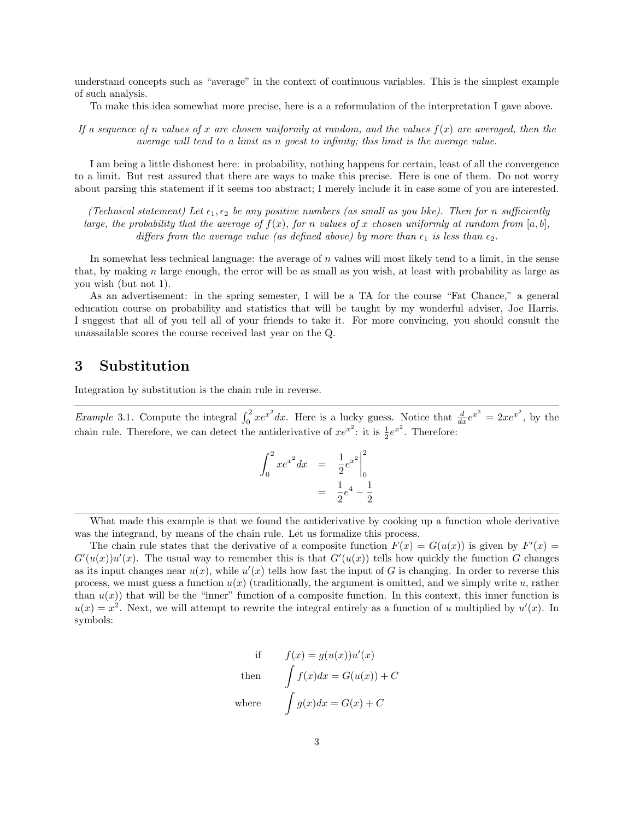understand concepts such as "average" in the context of continuous variables. This is the simplest example of such analysis.

To make this idea somewhat more precise, here is a a reformulation of the interpretation I gave above.

If a sequence of n values of x are chosen uniformly at random, and the values  $f(x)$  are averaged, then the average will tend to a limit as n goest to infinity; this limit is the average value.

I am being a little dishonest here: in probability, nothing happens for certain, least of all the convergence to a limit. But rest assured that there are ways to make this precise. Here is one of them. Do not worry about parsing this statement if it seems too abstract; I merely include it in case some of you are interested.

(Technical statement) Let  $\epsilon_1, \epsilon_2$  be any positive numbers (as small as you like). Then for n sufficiently large, the probability that the average of  $f(x)$ , for n values of x chosen uniformly at random from [a, b], differs from the average value (as defined above) by more than  $\epsilon_1$  is less than  $\epsilon_2$ .

In somewhat less technical language: the average of n values will most likely tend to a limit, in the sense that, by making  $n$  large enough, the error will be as small as you wish, at least with probability as large as you wish (but not 1).

As an advertisement: in the spring semester, I will be a TA for the course "Fat Chance," a general education course on probability and statistics that will be taught by my wonderful adviser, Joe Harris. I suggest that all of you tell all of your friends to take it. For more convincing, you should consult the unassailable scores the course received last year on the Q.

## 3 Substitution

Integration by substitution is the chain rule in reverse.

*Example* 3.1. Compute the integral  $\int_0^2 xe^{x^2} dx$ . Here is a lucky guess. Notice that  $\frac{d}{dx}e^{x^2} = 2xe^{x^2}$ , by the chain rule. Therefore, we can detect the antiderivative of  $xe^{x^2}$ : it is  $\frac{1}{2}e^{x^2}$ . Therefore:

$$
\int_0^2 xe^{x^2} dx = \left. \frac{1}{2}e^{x^2} \right|_0^2
$$

$$
= \left. \frac{1}{2}e^4 - \frac{1}{2} \right|
$$

What made this example is that we found the antiderivative by cooking up a function whole derivative was the integrand, by means of the chain rule. Let us formalize this process.

The chain rule states that the derivative of a composite function  $F(x) = G(u(x))$  is given by  $F'(x) =$  $G'(u(x))u'(x)$ . The usual way to remember this is that  $G'(u(x))$  tells how quickly the function G changes as its input changes near  $u(x)$ , while  $u'(x)$  tells how fast the input of G is changing. In order to reverse this process, we must guess a function  $u(x)$  (traditionally, the argument is omitted, and we simply write u, rather than  $u(x)$  that will be the "inner" function of a composite function. In this context, this inner function is  $u(x) = x^2$ . Next, we will attempt to rewrite the integral entirely as a function of u multiplied by  $u'(x)$ . In symbols:

if 
$$
f(x) = g(u(x))u'(x)
$$
  
then 
$$
\int f(x)dx = G(u(x)) + C
$$
  
where 
$$
\int g(x)dx = G(x) + C
$$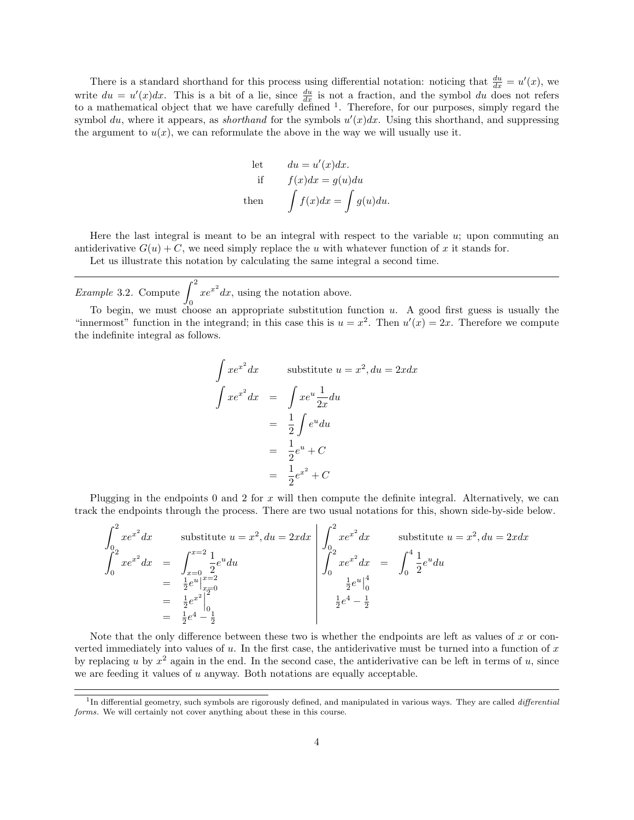There is a standard shorthand for this process using differential notation: noticing that  $\frac{du}{dx} = u'(x)$ , we write  $du = u'(x)dx$ . This is a bit of a lie, since  $\frac{du}{dx}$  is not a fraction, and the symbol du does not refers to a mathematical object that we have carefully defined  $\frac{1}{1}$ . Therefore, for our purposes, simply regard the symbol du, where it appears, as *shorthand* for the symbols  $u'(x)dx$ . Using this shorthand, and suppressing the argument to  $u(x)$ , we can reformulate the above in the way we will usually use it.

let 
$$
du = u'(x)dx
$$
.  
if  $f(x)dx = g(u)du$   
then  $\int f(x)dx = \int g(u)du$ .

Here the last integral is meant to be an integral with respect to the variable  $u$ ; upon commuting an antiderivative  $G(u) + C$ , we need simply replace the u with whatever function of x it stands for.

Let us illustrate this notation by calculating the same integral a second time.

*Example* 3.2. Compute  $\int_{}^{2} xe^{x^2} dx$ , using the notation above.

To begin, we must choose an appropriate substitution function u. A good first guess is usually the "innermost" function in the integrand; in this case this is  $u = x^2$ . Then  $u'(x) = 2x$ . Therefore we compute the indefinite integral as follows.

$$
\int xe^{x^2} dx
$$
 substitute  $u = x^2$ ,  $du = 2xdx$   

$$
\int xe^{x^2} dx = \int xe^u \frac{1}{2x} du
$$

$$
= \frac{1}{2} \int e^u du
$$

$$
= \frac{1}{2} e^u + C
$$

$$
= \frac{1}{2} e^{x^2} + C
$$

Plugging in the endpoints  $0$  and  $2$  for  $x$  will then compute the definite integral. Alternatively, we can track the endpoints through the process. There are two usual notations for this, shown side-by-side below.

$$
\int_{0}^{2} xe^{x^{2}} dx \qquad \text{substitute } u = x^{2}, du = 2xdx
$$
\n
$$
\int_{0}^{2} xe^{x^{2}} dx = \int_{x=0}^{x=2} \frac{1}{2} e^{u} du
$$
\n
$$
= \frac{1}{2} e^{u} \Big|_{x=0}^{x=2}
$$
\n
$$
= \frac{1}{2} e^{x^{2}} \Big|_{0}^{2}
$$
\n
$$
= \frac{1}{2} e^{x^{2}} \Big|_{0}^{2}
$$
\n
$$
= \frac{1}{2} e^{x^{2}} \Big|_{0}^{2}
$$
\n
$$
= \frac{1}{2} e^{4} - \frac{1}{2}
$$
\n
$$
\left| \int_{0}^{2} xe^{x^{2}} dx \right| = \int_{0}^{4} \frac{1}{2} e^{u} du
$$
\n
$$
\frac{1}{2} e^{u} \Big|_{0}^{4}
$$
\n
$$
\frac{1}{2} e^{4} - \frac{1}{2}
$$

Note that the only difference between these two is whether the endpoints are left as values of  $x$  or converted immediately into values of  $u$ . In the first case, the antiderivative must be turned into a function of  $x$ by replacing u by  $x^2$  again in the end. In the second case, the antiderivative can be left in terms of u, since we are feeding it values of u anyway. Both notations are equally acceptable.

<sup>&</sup>lt;sup>1</sup>In differential geometry, such symbols are rigorously defined, and manipulated in various ways. They are called *differential* forms. We will certainly not cover anything about these in this course.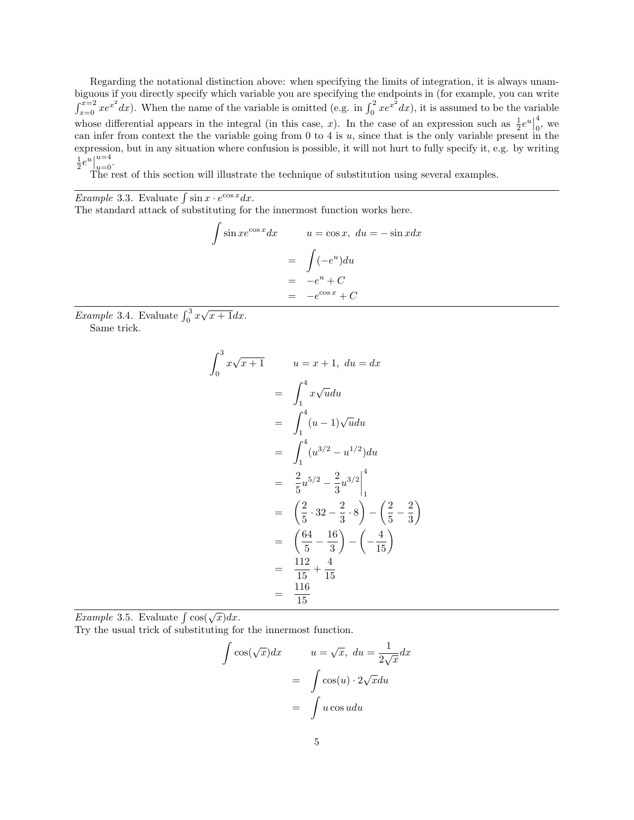Regarding the notational distinction above: when specifying the limits of integration, it is always unambiguous if you directly specify which variable you are specifying the endpoints in (for example, you can write  $\int_{x=0}^{x=2} xe^{x^2} dx$ ). When the name of the variable is omitted (e.g. in  $\int_0^2 xe^{x^2} dx$ ), it is assumed to be the variable whose differential appears in the integral (in this case, x). In the case of an expression such as  $\frac{1}{2}e^u$ 4  $\frac{4}{0}$ , we can infer from context the the variable going from  $0$  to  $4$  is  $u$ , since that is the only variable present in the expression, but in any situation where confusion is possible, it will not hurt to fully specify it, e.g. by writing  $\frac{1}{2}e^u$  $_{u=0}^{u=4}$ .

The rest of this section will illustrate the technique of substitution using several examples.

*Example* 3.3. Evaluate  $\int \sin x \cdot e^{\cos x} dx$ .

The standard attack of substituting for the innermost function works here.

 $\int \sin x e^{\cos x} dx \qquad u = \cos x, \ du = -\sin x dx$  $=\int (-e^u)du$  $= -e^u + C$  $= -e^{\cos x} + C$ 

*Example* 3.4. Evaluate  $\int_0^3 x\sqrt{x+1}dx$ .

Same trick.

$$
\int_0^3 x\sqrt{x+1} \qquad u = x+1, \ du = dx
$$
  
= 
$$
\int_1^4 x\sqrt{u}du
$$
  
= 
$$
\int_1^4 (u-1)\sqrt{u}du
$$
  
= 
$$
\int_1^4 (u^{3/2} - u^{1/2})du
$$
  
= 
$$
\frac{2}{5}u^{5/2} - \frac{2}{3}u^{3/2}\Big|_1^4
$$
  
= 
$$
\left(\frac{2}{5} \cdot 32 - \frac{2}{3} \cdot 8\right) - \left(\frac{2}{5} - \frac{2}{3}\right)
$$
  
= 
$$
\left(\frac{64}{5} - \frac{16}{3}\right) - \left(-\frac{4}{15}\right)
$$
  
= 
$$
\frac{112}{15} + \frac{4}{15}
$$
  
= 
$$
\frac{116}{15}
$$

Example 3.5. Evaluate  $\int \cos(\sqrt{x}) dx$ .

Try the usual trick of substituting for the innermost function.

$$
\int \cos(\sqrt{x})dx \qquad u = \sqrt{x}, \ du = \frac{1}{2\sqrt{x}}dx
$$

$$
= \int \cos(u) \cdot 2\sqrt{x}du
$$

$$
= \int u \cos u du
$$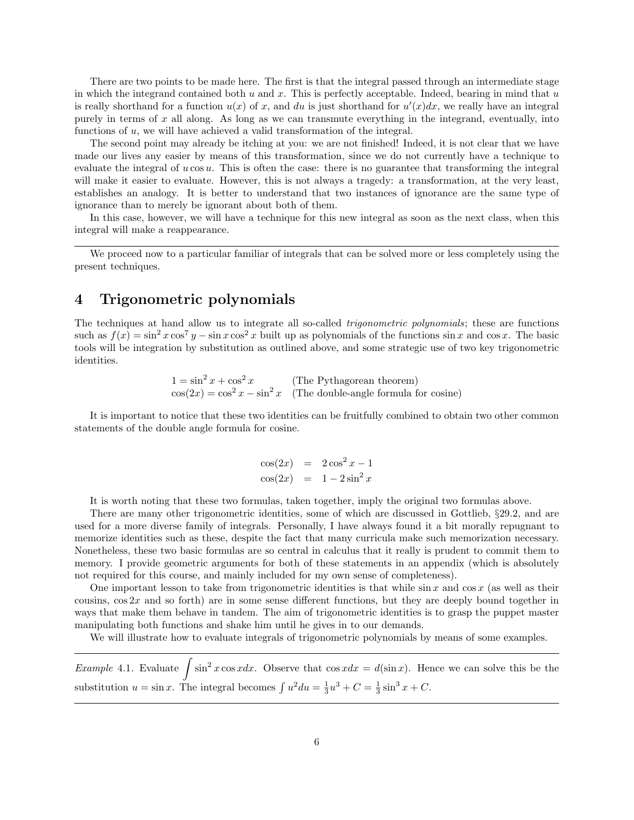There are two points to be made here. The first is that the integral passed through an intermediate stage in which the integrand contained both  $u$  and  $x$ . This is perfectly acceptable. Indeed, bearing in mind that  $u$ is really shorthand for a function  $u(x)$  of x, and du is just shorthand for  $u'(x)dx$ , we really have an integral purely in terms of  $x$  all along. As long as we can transmute everything in the integrand, eventually, into functions of u, we will have achieved a valid transformation of the integral.

The second point may already be itching at you: we are not finished! Indeed, it is not clear that we have made our lives any easier by means of this transformation, since we do not currently have a technique to evaluate the integral of  $u \cos u$ . This is often the case: there is no guarantee that transforming the integral will make it easier to evaluate. However, this is not always a tragedy: a transformation, at the very least, establishes an analogy. It is better to understand that two instances of ignorance are the same type of ignorance than to merely be ignorant about both of them.

In this case, however, we will have a technique for this new integral as soon as the next class, when this integral will make a reappearance.

We proceed now to a particular familiar of integrals that can be solved more or less completely using the present techniques.

### 4 Trigonometric polynomials

The techniques at hand allow us to integrate all so-called *trigonometric polynomials*; these are functions such as  $f(x) = \sin^2 x \cos^7 y - \sin x \cos^2 x$  built up as polynomials of the functions  $\sin x$  and  $\cos x$ . The basic tools will be integration by substitution as outlined above, and some strategic use of two key trigonometric identities.

> $1 = \sin^2 x + \cos^2 x$  (The Pythagorean theorem)  $cos(2x) = cos<sup>2</sup> x - sin<sup>2</sup> x$  (The double-angle formula for cosine)

It is important to notice that these two identities can be fruitfully combined to obtain two other common statements of the double angle formula for cosine.

$$
\cos(2x) = 2\cos^2 x - 1
$$
  

$$
\cos(2x) = 1 - 2\sin^2 x
$$

It is worth noting that these two formulas, taken together, imply the original two formulas above.

There are many other trigonometric identities, some of which are discussed in Gottlieb, §29.2, and are used for a more diverse family of integrals. Personally, I have always found it a bit morally repugnant to memorize identities such as these, despite the fact that many curricula make such memorization necessary. Nonetheless, these two basic formulas are so central in calculus that it really is prudent to commit them to memory. I provide geometric arguments for both of these statements in an appendix (which is absolutely not required for this course, and mainly included for my own sense of completeness).

One important lesson to take from trigonometric identities is that while  $\sin x$  and  $\cos x$  (as well as their cousins,  $\cos 2x$  and so forth) are in some sense different functions, but they are deeply bound together in ways that make them behave in tandem. The aim of trigonometric identities is to grasp the puppet master manipulating both functions and shake him until he gives in to our demands.

We will illustrate how to evaluate integrals of trigonometric polynomials by means of some examples.

*Example* 4.1. Evaluate  $\int \sin^2 x \cos x dx$ . Observe that  $\cos x dx = d(\sin x)$ . Hence we can solve this be the substitution  $u = \sin x$ . The integral becomes  $\int u^2 du = \frac{1}{3}u^3 + C = \frac{1}{3}\sin^3 x + C$ .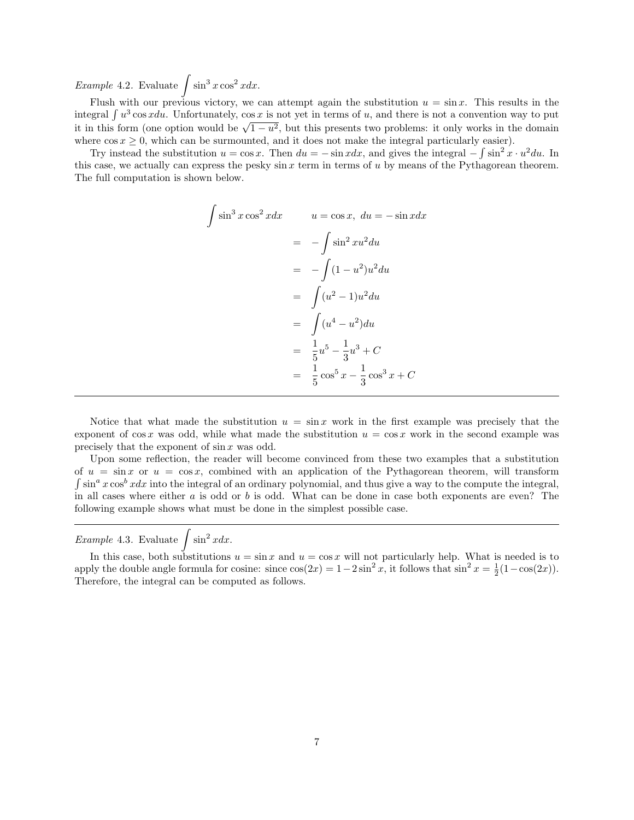*Example* 4.2. Evaluate  $\int \sin^3 x \cos^2 x dx$ .

Flush with our previous victory, we can attempt again the substitution  $u = \sin x$ . This results in the integral  $\int u^3 \cos x du$ . Unfortunately,  $\cos x$  is not yet in terms of u, and there is not a convention way to put integral *j* u cos xuu. Unfortunately, cos x is not yet in terms or u, and there is not a convention way to put it in this form (one option would be  $\sqrt{1-u^2}$ , but this presents two problems: it only works in the domain where  $\cos x \geq 0$ , which can be surmounted, and it does not make the integral particularly easier).

Try instead the substitution  $u = \cos x$ . Then  $du = -\sin x dx$ , and gives the integral  $-\int \sin^2 x \cdot u^2 du$ . In this case, we actually can express the pesky sin  $x$  term in terms of  $u$  by means of the Pythagorean theorem. The full computation is shown below.

$$
\int \sin^3 x \cos^2 x dx \qquad u = \cos x, \ du = -\sin x dx
$$

$$
= -\int \sin^2 x u^2 du
$$

$$
= -\int (1 - u^2) u^2 du
$$

$$
= \int (u^2 - 1) u^2 du
$$

$$
= \int (u^4 - u^2) du
$$

$$
= \frac{1}{5} u^5 - \frac{1}{3} u^3 + C
$$

$$
= \frac{1}{5} \cos^5 x - \frac{1}{3} \cos^3 x + C
$$

Notice that what made the substitution  $u = \sin x$  work in the first example was precisely that the exponent of cos x was odd, while what made the substitution  $u = \cos x$  work in the second example was precisely that the exponent of sin x was odd.

Upon some reflection, the reader will become convinced from these two examples that a substitution of  $u = \sin x$  or  $u = \cos x$ , combined with an application of the Pythagorean theorem, will transform  $\int \sin^a x \cos^b x dx$  into the integral of an ordinary polynomial, and thus give a way to the compute the integral, in all cases where either  $a$  is odd or  $b$  is odd. What can be done in case both exponents are even? The following example shows what must be done in the simplest possible case.

*Example* 4.3. Evaluate  $\int \sin^2 x dx$ .

In this case, both substitutions  $u = \sin x$  and  $u = \cos x$  will not particularly help. What is needed is to apply the double angle formula for cosine: since  $cos(2x) = 1 - 2sin^2 x$ , it follows that  $sin^2 x = \frac{1}{2}(1 - cos(2x))$ . Therefore, the integral can be computed as follows.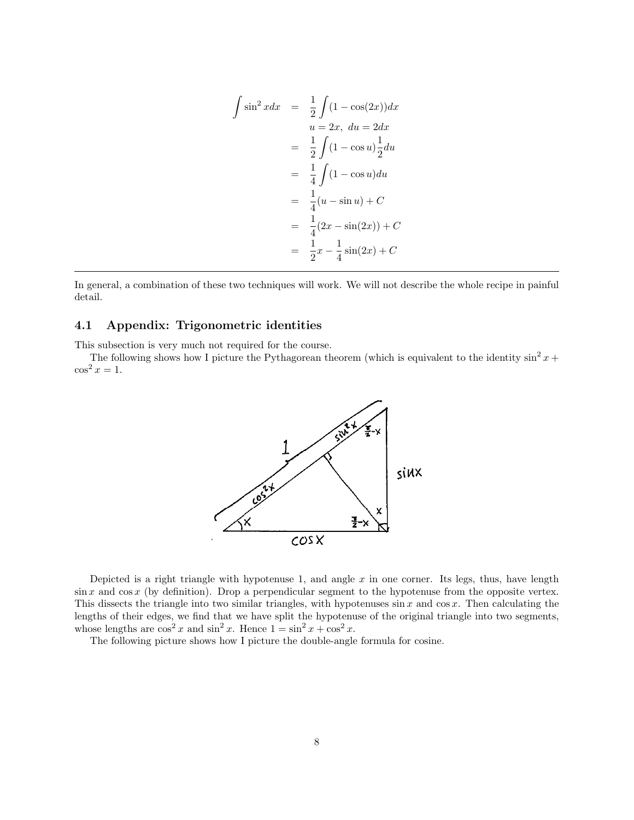$$
\int \sin^2 x dx = \frac{1}{2} \int (1 - \cos(2x)) dx
$$
  
\n
$$
u = 2x, du = 2dx
$$
  
\n
$$
= \frac{1}{2} \int (1 - \cos u) \frac{1}{2} du
$$
  
\n
$$
= \frac{1}{4} \int (1 - \cos u) du
$$
  
\n
$$
= \frac{1}{4} (u - \sin u) + C
$$
  
\n
$$
= \frac{1}{4} (2x - \sin(2x)) + C
$$
  
\n
$$
= \frac{1}{2} x - \frac{1}{4} \sin(2x) + C
$$

In general, a combination of these two techniques will work. We will not describe the whole recipe in painful detail.

#### 4.1 Appendix: Trigonometric identities

This subsection is very much not required for the course.

The following shows how I picture the Pythagorean theorem (which is equivalent to the identity  $\sin^2 x +$  $\cos^2 x = 1$ .



Depicted is a right triangle with hypotenuse 1, and angle  $x$  in one corner. Its legs, thus, have length  $\sin x$  and  $\cos x$  (by definition). Drop a perpendicular segment to the hypotenuse from the opposite vertex. This dissects the triangle into two similar triangles, with hypotenuses  $\sin x$  and  $\cos x$ . Then calculating the lengths of their edges, we find that we have split the hypotenuse of the original triangle into two segments, whose lengths are  $\cos^2 x$  and  $\sin^2 x$ . Hence  $1 = \sin^2 x + \cos^2 x$ .

The following picture shows how I picture the double-angle formula for cosine.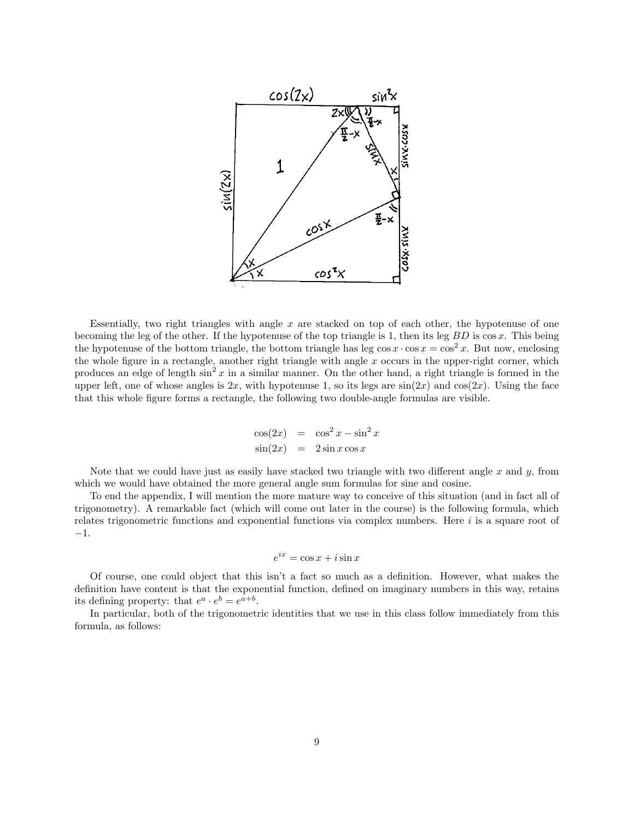

Essentially, two right triangles with angle  $x$  are stacked on top of each other, the hypotenuse of one becoming the leg of the other. If the hypotenuse of the top triangle is 1, then its leg  $BD$  is  $\cos x$ . This being the hypotenuse of the bottom triangle, the bottom triangle has leg  $\cos x \cdot \cos x = \cos^2 x$ . But now, enclosing the whole figure in a rectangle, another right triangle with angle  $x$  occurs in the upper-right corner, which produces an edge of length  $\sin^2 x$  in a similar manner. On the other hand, a right triangle is formed in the upper left, one of whose angles is  $2x$ , with hypotenuse 1, so its legs are  $sin(2x)$  and  $cos(2x)$ . Using the face that this whole figure forms a rectangle, the following two double-angle formulas are visible.

$$
\cos(2x) = \cos^2 x - \sin^2 x
$$
  

$$
\sin(2x) = 2\sin x \cos x
$$

Note that we could have just as easily have stacked two triangle with two different angle  $x$  and  $y$ , from which we would have obtained the more general angle sum formulas for sine and cosine.

To end the appendix, I will mention the more mature way to conceive of this situation (and in fact all of trigonometry). A remarkable fact (which will come out later in the course) is the following formula, which relates trigonometric functions and exponential functions via complex numbers. Here  $i$  is a square root of −1.

$$
e^{ix} = \cos x + i\sin x
$$

Of course, one could object that this isn't a fact so much as a definition. However, what makes the definition have content is that the exponential function, defined on imaginary numbers in this way, retains its defining property: that  $e^a \cdot e^b = e^{a+b}$ .

In particular, both of the trigonometric identities that we use in this class follow immediately from this formula, as follows: